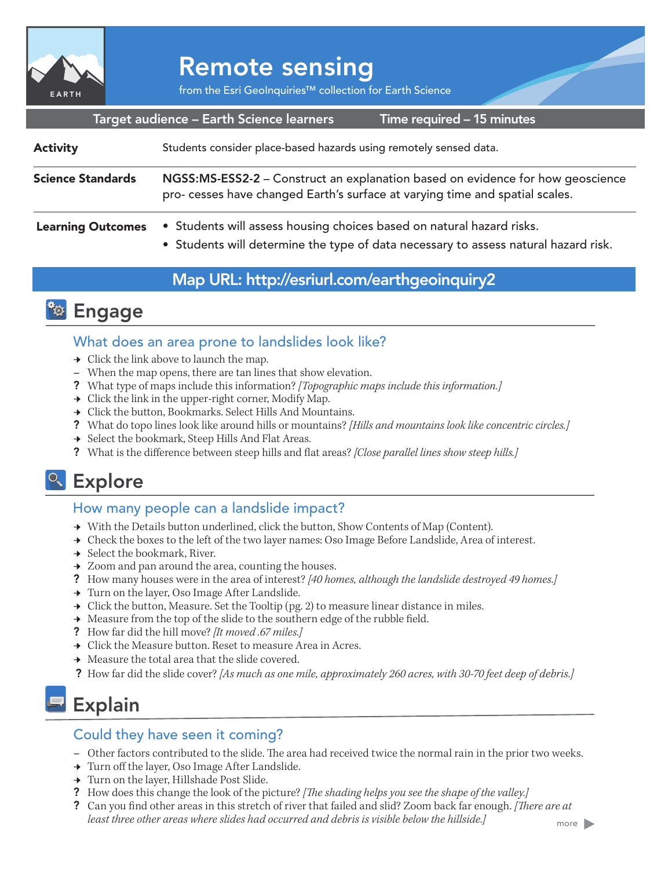

# Remote sensing

from the Esri GeoInquiries™ collection for Earth Science

|                          | Target audience - Earth Science learners                                                                                                                       | Time required – 15 minutes |
|--------------------------|----------------------------------------------------------------------------------------------------------------------------------------------------------------|----------------------------|
| <b>Activity</b>          | Students consider place-based hazards using remotely sensed data.                                                                                              |                            |
| <b>Science Standards</b> | NGSS:MS-ESS2-2 - Construct an explanation based on evidence for how geoscience<br>pro- cesses have changed Earth's surface at varying time and spatial scales. |                            |
| <b>Learning Outcomes</b> | • Students will assess housing choices based on natural hazard risks.                                                                                          |                            |

• Students will determine the type of data necessary to assess natural hazard risk.

### Map URL: http://esriurl.com/earthgeoinquiry2



### What does an area prone to landslides look like?

- $\rightarrow$  Click the link above to launch the map.
- **–** When the map opens, there are tan lines that show elevation.
- ? What type of maps include this information? *[Topographic maps include this information.]*
- $\rightarrow$  Click the link in the upper-right corner, Modify Map.
- → Click the button, Bookmarks. Select Hills And Mountains.
- ? What do topo lines look like around hills or mountains? *[Hills and mountains look like concentric circles.]*
- → Select the bookmark, Steep Hills And Flat Areas.
- ? What is the difference between steep hills and flat areas? *[Close parallel lines show steep hills.]*

### <sup>o</sup> Explore

#### How many people can a landslide impact?

- → With the Details button underlined, click the button, Show Contents of Map (Content).
- → Check the boxes to the left of the two layer names: Oso Image Before Landslide, Area of interest.
- $\rightarrow$  Select the bookmark, River.
- **→** Zoom and pan around the area, counting the houses.
- ? How many houses were in the area of interest? *[40 homes, although the landslide destroyed 49 homes.]*
- **→** Turn on the layer, Oso Image After Landslide.
- $\rightarrow$  Click the button, Measure. Set the Tooltip (pg. 2) to measure linear distance in miles.
- $\rightarrow$  Measure from the top of the slide to the southern edge of the rubble field.
- ? How far did the hill move? *[It moved .67 miles.]*
- **→** Click the Measure button. Reset to measure Area in Acres.
- $\rightarrow$  Measure the total area that the slide covered.
- ? How far did the slide cover? *[As much as one mile, approximately 260 acres, with 30-70 feet deep of debris.]*

# Explain

### Could they have seen it coming?

- **–** Other factors contributed to the slide. The area had received twice the normal rain in the prior two weeks.
- → Turn off the layer, Oso Image After Landslide.
- → Turn on the layer, Hillshade Post Slide.
- ? How does this change the look of the picture? *[The shading helps you see the shape of the valley.]*
- ? Can you find other areas in this stretch of river that failed and slid? Zoom back far enough. *[There are at least three other areas where slides had occurred and debris is visible below the hillside.]*